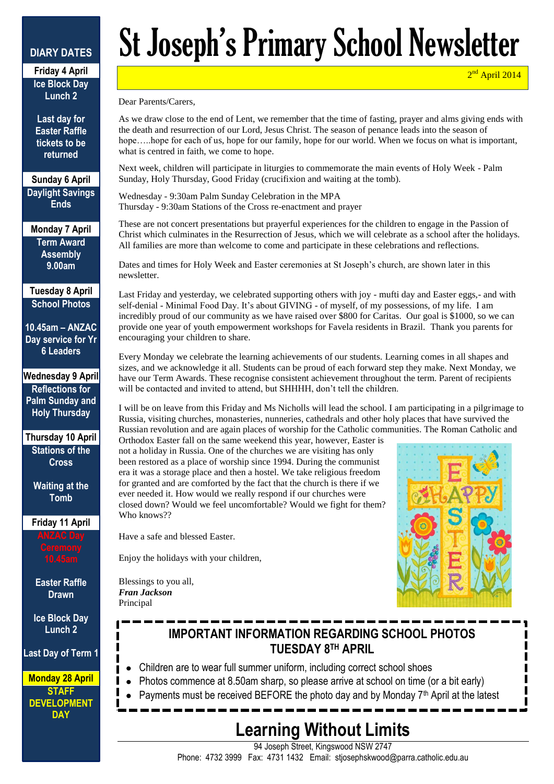#### **DIARY DATES**

**Friday 4 April Ice Block Day Lunch 2**

**Last day for Easter Raffle tickets to be returned**

**Sunday 6 April Daylight Savings Ends**

**Monday 7 April Term Award Assembly 9.00am**

**Tuesday 8 April School Photos**

**10.45am – ANZAC Day service for Yr 6 Leaders**

**Wednesday 9 April Reflections for Palm Sunday and Holy Thursday**

**Thursday 10 April Stations of the Cross**

> **Waiting at the Tomb**

**Friday 11 April**

**Easter Raffle Drawn**

**Ice Block Day Lunch 2**

**Last Day of Term 1**

**Monday 28 April STAFF DEVELOPMENT DAY**

# St Joseph's Primary School Newsletter

2<sup>nd</sup> April 2014

Dear Parents/Carers,

As we draw close to the end of Lent, we remember that the time of fasting, prayer and alms giving ends with the death and resurrection of our Lord, Jesus Christ. The season of penance leads into the season of hope.....hope for each of us, hope for our family, hope for our world. When we focus on what is important, what is centred in faith, we come to hope.

Next week, children will participate in liturgies to commemorate the main events of Holy Week - Palm Sunday, Holy Thursday, Good Friday (crucifixion and waiting at the tomb).

Wednesday - 9:30am Palm Sunday Celebration in the MPA Thursday - 9:30am Stations of the Cross re-enactment and prayer

These are not concert presentations but prayerful experiences for the children to engage in the Passion of Christ which culminates in the Resurrection of Jesus, which we will celebrate as a school after the holidays. All families are more than welcome to come and participate in these celebrations and reflections.

Dates and times for Holy Week and Easter ceremonies at St Joseph's church, are shown later in this newsletter.

Last Friday and yesterday, we celebrated supporting others with joy - mufti day and Easter eggs,- and with self-denial - Minimal Food Day. It's about GIVING - of myself, of my possessions, of my life. I am incredibly proud of our community as we have raised over \$800 for Caritas. Our goal is \$1000, so we can provide one year of youth empowerment workshops for Favela residents in Brazil. Thank you parents for encouraging your children to share.

Every Monday we celebrate the learning achievements of our students. Learning comes in all shapes and sizes, and we acknowledge it all. Students can be proud of each forward step they make. Next Monday, we have our Term Awards. These recognise consistent achievement throughout the term. Parent of recipients will be contacted and invited to attend, but SHHHH, don't tell the children.

I will be on leave from this Friday and Ms Nicholls will lead the school. I am participating in a pilgrimage to Russia, visiting churches, monasteries, nunneries, cathedrals and other holy places that have survived the Russian revolution and are again places of worship for the Catholic communities. The Roman Catholic and

Orthodox Easter fall on the same weekend this year, however, Easter is not a holiday in Russia. One of the churches we are visiting has only been restored as a place of worship since 1994. During the communist era it was a storage place and then a hostel. We take religious freedom for granted and are comforted by the fact that the church is there if we ever needed it. How would we really respond if our churches were closed down? Would we feel uncomfortable? Would we fight for them? Who knows??



Have a safe and blessed Easter.

Enjoy the holidays with your children,

Blessings to you all, *Fran Jackson* Principal

## **IMPORTANT INFORMATION REGARDING SCHOOL PHOTOS TUESDAY 8TH APRIL**

- Children are to wear full summer uniform, including correct school shoes
- Photos commence at 8.50am sharp, so please arrive at school on time (or a bit early)
- Payments must be received BEFORE the photo day and by Monday 7<sup>th</sup> April at the latest

# **Learning Without Limits**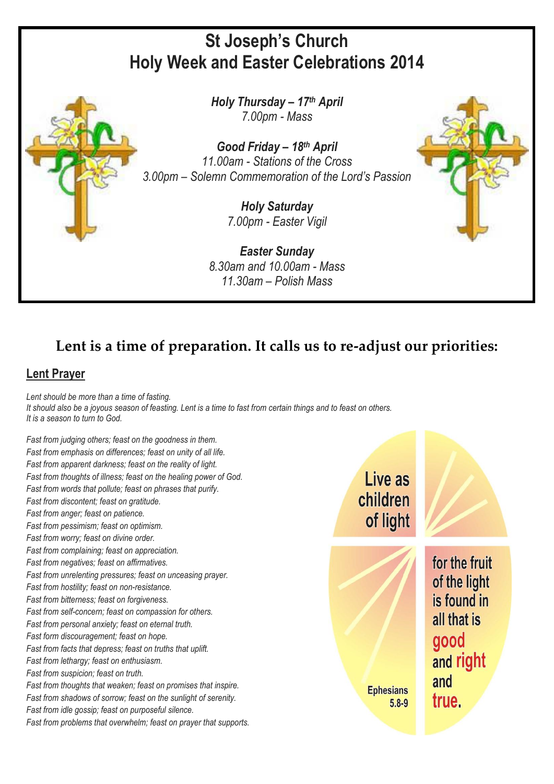## **St Joseph's Church Holy Week and Easter Celebrations 2014**



*Good Friday – 18th April 11.00am - Stations of the Cross 3.00pm – Solemn Commemoration of the Lord's Passion*

> *Holy Saturday 7.00pm - Easter Vigil*

*Easter Sunday 8.30am and 10.00am - Mass 11.30am – Polish Mass*



#### **Lent Prayer**

*Lent should be more than a time of fasting.* It should also be a joyous season of feasting. Lent is a time to fast from certain things and to feast on others. *It is a season to turn to God.*

*Fast from judging others; feast on the goodness in them. Fast from emphasis on differences; feast on unity of all life. Fast from apparent darkness; feast on the reality of light. Fast from thoughts of illness; feast on the healing power of God. Fast from words that pollute; feast on phrases that purify. Fast from discontent; feast on gratitude. Fast from anger; feast on patience. Fast from pessimism; feast on optimism. Fast from worry; feast on divine order. Fast from complaining; feast on appreciation. Fast from negatives; feast on affirmatives. Fast from unrelenting pressures; feast on unceasing prayer. Fast from hostility; feast on non-resistance. Fast from bitterness; feast on forgiveness. Fast from self-concern; feast on compassion for others. Fast from personal anxiety; feast on eternal truth. Fast form discouragement; feast on hope. Fast from facts that depress; feast on truths that uplift. Fast from lethargy; feast on enthusiasm. Fast from suspicion; feast on truth. Fast from thoughts that weaken; feast on promises that inspire. Fast from shadows of sorrow; feast on the sunlight of serenity. Fast from idle gossip; feast on purposeful silence. Fast from problems that overwhelm; feast on prayer that supports.*

Live as children of light

**Ephesians** 

 $5.8 - 9$ 

for the fruit of the light is found in all that is good and right and true.